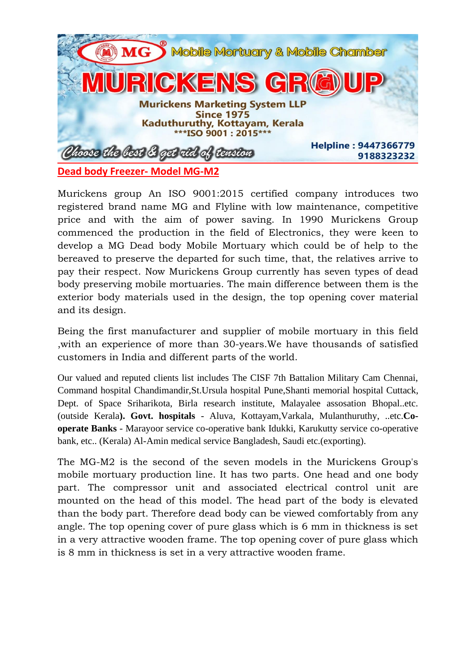

Murickens group An ISO 9001:2015 certified company introduces two registered brand name MG and Flyline with low maintenance, competitive price and with the aim of power saving. In 1990 Murickens Group commenced the production in the field of Electronics, they were keen to develop a MG Dead body Mobile Mortuary which could be of help to the bereaved to preserve the departed for such time, that, the relatives arrive to pay their respect. Now Murickens Group currently has seven types of dead body preserving mobile mortuaries. The main difference between them is the exterior body materials used in the design, the top opening cover material and its design.

Being the first manufacturer and supplier of mobile mortuary in this field ,with an experience of more than 30-years.We have thousands of satisfied customers in India and different parts of the world.

Our valued and reputed clients list includes The CISF 7th Battalion Military Cam Chennai, Command hospital Chandimandir,St.Ursula hospital Pune,Shanti memorial hospital Cuttack, Dept. of Space Sriharikota, Birla research institute, Malayalee assosation Bhopal..etc. (outside Kerala**). Govt. hospitals** - Aluva, Kottayam,Varkala, Mulanthuruthy, ..etc.**Cooperate Banks** - Marayoor service co-operative bank Idukki, Karukutty service co-operative bank, etc.. (Kerala) Al-Amin medical service Bangladesh, Saudi etc.(exporting).

The MG-M2 is the second of the seven models in the Murickens Group's mobile mortuary production line. It has two parts. One head and one body part. The compressor unit and associated electrical control unit are mounted on the head of this model. The head part of the body is elevated than the body part. Therefore dead body can be viewed comfortably from any angle. The top opening cover of pure glass which is 6 mm in thickness is set in a very attractive wooden frame. The top opening cover of pure glass which is 8 mm in thickness is set in a very attractive wooden frame.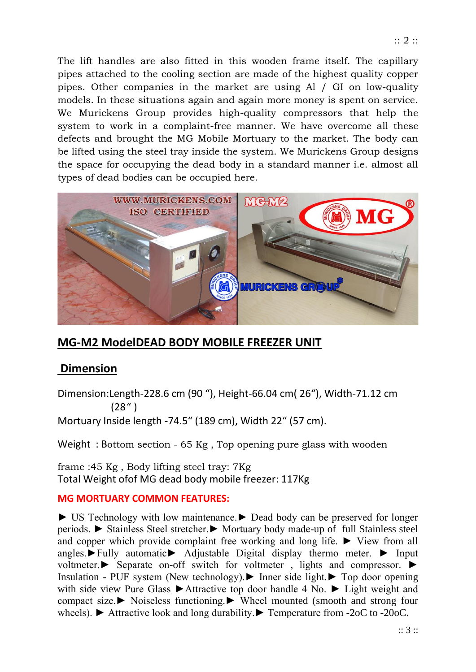The lift handles are also fitted in this wooden frame itself. The capillary pipes attached to the cooling section are made of the highest quality copper pipes. Other companies in the market are using Al / GI on low-quality models. In these situations again and again more money is spent on service. We Murickens Group provides high-quality compressors that help the system to work in a complaint-free manner. We have overcome all these defects and brought the MG Mobile Mortuary to the market. The body can be lifted using the steel tray inside the system. We Murickens Group designs the space for occupying the dead body in a standard manner i.e. almost all types of dead bodies can be occupied here.



# **MG-M2 ModelDEAD BODY MOBILE FREEZER UNIT**

## **Dimension**

Dimension:Length-228.6 cm (90 "), Height-66.04 cm( 26"), Width-71.12 cm (28" )

Mortuary Inside length -74.5" (189 cm), Width 22" (57 cm).

Weight : Bottom section - 65 Kg , Top opening pure glass with wooden

frame :45 Kg , Body lifting steel tray: 7Kg Total Weight ofof MG dead body mobile freezer: 117Kg

## **MG MORTUARY COMMON FEATURES:**

► US Technology with low maintenance.► Dead body can be preserved for longer periods. ► Stainless Steel stretcher.► Mortuary body made-up of full Stainless steel and copper which provide complaint free working and long life. ► View from all angles.►Fully automatic► Adjustable Digital display thermo meter. ► Input voltmeter.► Separate on-off switch for voltmeter , lights and compressor. ► Insulation - PUF system (New technology).► Inner side light.► Top door opening with side view Pure Glass ►Attractive top door handle 4 No. ► Light weight and compact size.► Noiseless functioning.► Wheel mounted (smooth and strong four wheels). ► Attractive look and long durability.► Temperature from -2oC to -20oC.